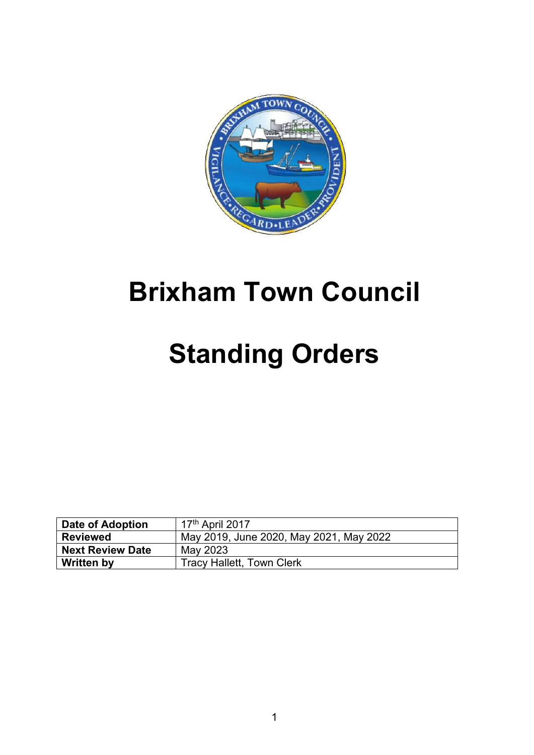

## **Brixham Town Council**

# **Standing Orders**

| Date of Adoption        | 17 <sup>th</sup> April 2017             |
|-------------------------|-----------------------------------------|
| <b>Reviewed</b>         | May 2019, June 2020, May 2021, May 2022 |
| <b>Next Review Date</b> | May 2023                                |
| <b>Written by</b>       | <b>Tracy Hallett, Town Clerk</b>        |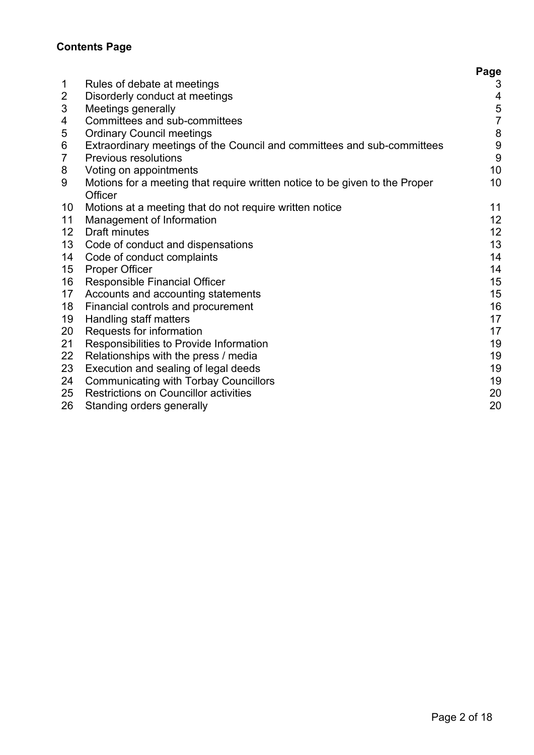### **Contents Page**

|                |                                                                                        | Page                    |
|----------------|----------------------------------------------------------------------------------------|-------------------------|
| 1              | Rules of debate at meetings                                                            | 3                       |
| $\overline{2}$ | Disorderly conduct at meetings                                                         | $\overline{\mathbf{4}}$ |
| $\mathfrak{B}$ | Meetings generally                                                                     | $\mathbf 5$             |
| 4              | Committees and sub-committees                                                          | $\overline{7}$          |
| 5              | <b>Ordinary Council meetings</b>                                                       | $\bf 8$                 |
| 6              | Extraordinary meetings of the Council and committees and sub-committees                | $\boldsymbol{9}$        |
| $\overline{7}$ | <b>Previous resolutions</b>                                                            | 9                       |
| 8              | Voting on appointments                                                                 | 10 <sup>°</sup>         |
| 9              | Motions for a meeting that require written notice to be given to the Proper<br>Officer | 10                      |
| 10             | Motions at a meeting that do not require written notice                                | 11                      |
| 11             | Management of Information                                                              | 12                      |
| 12             | <b>Draft minutes</b>                                                                   | 12                      |
| 13             | Code of conduct and dispensations                                                      | 13                      |
| 14             | Code of conduct complaints                                                             | 14                      |
| 15             | <b>Proper Officer</b>                                                                  | 14                      |
| 16             | <b>Responsible Financial Officer</b>                                                   | 15                      |
| 17             | Accounts and accounting statements                                                     | 15                      |
| 18             | Financial controls and procurement                                                     | 16                      |
| 19             | Handling staff matters                                                                 | 17                      |
| 20             | Requests for information                                                               | 17                      |
| 21             | Responsibilities to Provide Information                                                | 19                      |
| 22             | Relationships with the press / media                                                   | 19                      |
| 23             | Execution and sealing of legal deeds                                                   | 19                      |
| 24             | <b>Communicating with Torbay Councillors</b>                                           | 19                      |
| 25             | <b>Restrictions on Councillor activities</b>                                           | 20                      |
| 26             | Standing orders generally                                                              | 20                      |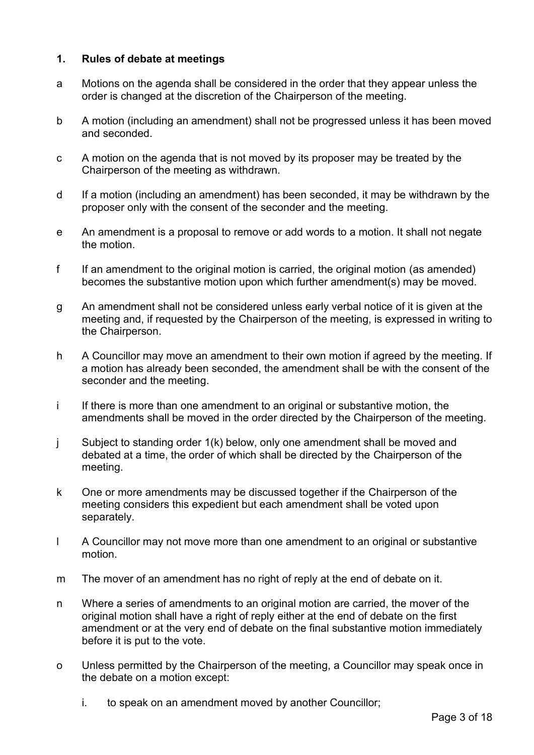#### **1. Rules of debate at meetings**

- a Motions on the agenda shall be considered in the order that they appear unless the order is changed at the discretion of the Chairperson of the meeting.
- b A motion (including an amendment) shall not be progressed unless it has been moved and seconded.
- c A motion on the agenda that is not moved by its proposer may be treated by the Chairperson of the meeting as withdrawn.
- d If a motion (including an amendment) has been seconded, it may be withdrawn by the proposer only with the consent of the seconder and the meeting.
- e An amendment is a proposal to remove or add words to a motion. It shall not negate the motion.
- f If an amendment to the original motion is carried, the original motion (as amended) becomes the substantive motion upon which further amendment(s) may be moved.
- g An amendment shall not be considered unless early verbal notice of it is given at the meeting and, if requested by the Chairperson of the meeting, is expressed in writing to the Chairperson.
- h A Councillor may move an amendment to their own motion if agreed by the meeting. If a motion has already been seconded, the amendment shall be with the consent of the seconder and the meeting.
- i If there is more than one amendment to an original or substantive motion, the amendments shall be moved in the order directed by the Chairperson of the meeting.
- j Subject to standing order 1(k) below, only one amendment shall be moved and debated at a time, the order of which shall be directed by the Chairperson of the meeting.
- k One or more amendments may be discussed together if the Chairperson of the meeting considers this expedient but each amendment shall be voted upon separately.
- l A Councillor may not move more than one amendment to an original or substantive motion.
- m The mover of an amendment has no right of reply at the end of debate on it.
- n Where a series of amendments to an original motion are carried, the mover of the original motion shall have a right of reply either at the end of debate on the first amendment or at the very end of debate on the final substantive motion immediately before it is put to the vote.
- o Unless permitted by the Chairperson of the meeting, a Councillor may speak once in the debate on a motion except:
	- i. to speak on an amendment moved by another Councillor;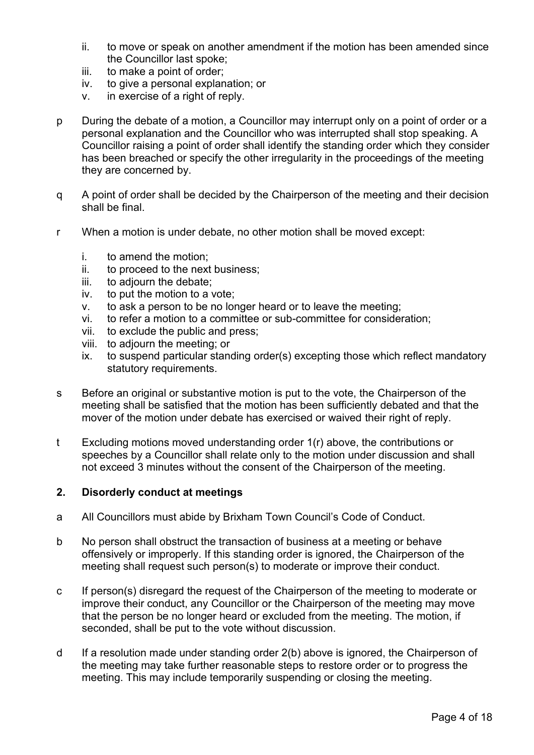- ii. to move or speak on another amendment if the motion has been amended since the Councillor last spoke;
- iii. to make a point of order;
- iv. to give a personal explanation; or
- v. in exercise of a right of reply.
- p During the debate of a motion, a Councillor may interrupt only on a point of order or a personal explanation and the Councillor who was interrupted shall stop speaking. A Councillor raising a point of order shall identify the standing order which they consider has been breached or specify the other irregularity in the proceedings of the meeting they are concerned by.
- q A point of order shall be decided by the Chairperson of the meeting and their decision shall be final.
- r When a motion is under debate, no other motion shall be moved except:
	- i. to amend the motion;
	- ii. to proceed to the next business;
	- iii. to adjourn the debate;
	- iv. to put the motion to a vote;
	- v. to ask a person to be no longer heard or to leave the meeting;
	- vi. to refer a motion to a committee or sub-committee for consideration;
	- vii. to exclude the public and press;
	- viii. to adjourn the meeting; or
	- ix. to suspend particular standing order(s) excepting those which reflect mandatory statutory requirements.
- s Before an original or substantive motion is put to the vote, the Chairperson of the meeting shall be satisfied that the motion has been sufficiently debated and that the mover of the motion under debate has exercised or waived their right of reply.
- t Excluding motions moved understanding order 1(r) above, the contributions or speeches by a Councillor shall relate only to the motion under discussion and shall not exceed 3 minutes without the consent of the Chairperson of the meeting.

#### **2. Disorderly conduct at meetings**

- a All Councillors must abide by Brixham Town Council's Code of Conduct.
- b No person shall obstruct the transaction of business at a meeting or behave offensively or improperly. If this standing order is ignored, the Chairperson of the meeting shall request such person(s) to moderate or improve their conduct.
- c If person(s) disregard the request of the Chairperson of the meeting to moderate or improve their conduct, any Councillor or the Chairperson of the meeting may move that the person be no longer heard or excluded from the meeting. The motion, if seconded, shall be put to the vote without discussion.
- d If a resolution made under standing order 2(b) above is ignored, the Chairperson of the meeting may take further reasonable steps to restore order or to progress the meeting. This may include temporarily suspending or closing the meeting.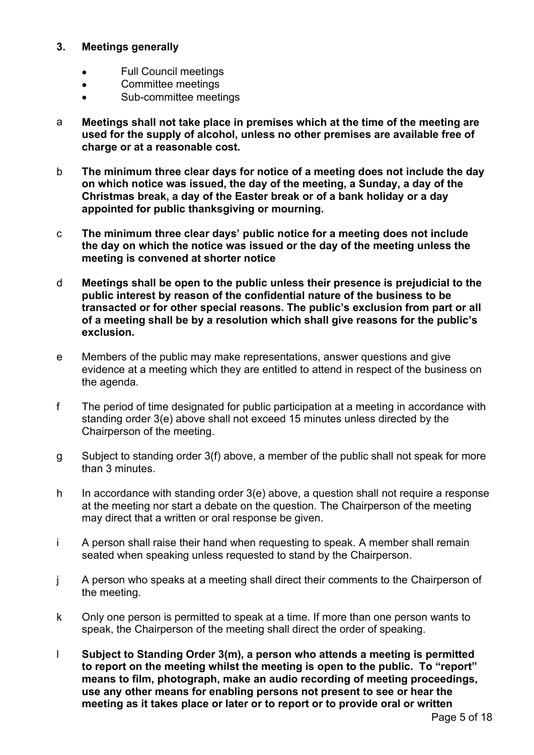#### **3. Meetings generally**

- Full Council meetings
- Committee meetings
- Sub-committee meetings
- a **Meetings shall not take place in premises which at the time of the meeting are used for the supply of alcohol, unless no other premises are available free of charge or at a reasonable cost.**
- b **The minimum three clear days for notice of a meeting does not include the day on which notice was issued, the day of the meeting, a Sunday, a day of the Christmas break, a day of the Easter break or of a bank holiday or a day appointed for public thanksgiving or mourning.**
- c **The minimum three clear days' public notice for a meeting does not include the day on which the notice was issued or the day of the meeting unless the meeting is convened at shorter notice**
- d **Meetings shall be open to the public unless their presence is prejudicial to the public interest by reason of the confidential nature of the business to be transacted or for other special reasons. The public's exclusion from part or all of a meeting shall be by a resolution which shall give reasons for the public's exclusion.**
- e Members of the public may make representations, answer questions and give evidence at a meeting which they are entitled to attend in respect of the business on the agenda.
- f The period of time designated for public participation at a meeting in accordance with standing order 3(e) above shall not exceed 15 minutes unless directed by the Chairperson of the meeting.
- g Subject to standing order 3(f) above, a member of the public shall not speak for more than 3 minutes.
- h In accordance with standing order 3(e) above, a question shall not require a response at the meeting nor start a debate on the question. The Chairperson of the meeting may direct that a written or oral response be given.
- i A person shall raise their hand when requesting to speak. A member shall remain seated when speaking unless requested to stand by the Chairperson.
- j A person who speaks at a meeting shall direct their comments to the Chairperson of the meeting.
- k Only one person is permitted to speak at a time. If more than one person wants to speak, the Chairperson of the meeting shall direct the order of speaking.
- l **Subject to Standing Order 3(m), a person who attends a meeting is permitted to report on the meeting whilst the meeting is open to the public. To "report" means to film, photograph, make an audio recording of meeting proceedings, use any other means for enabling persons not present to see or hear the meeting as it takes place or later or to report or to provide oral or written**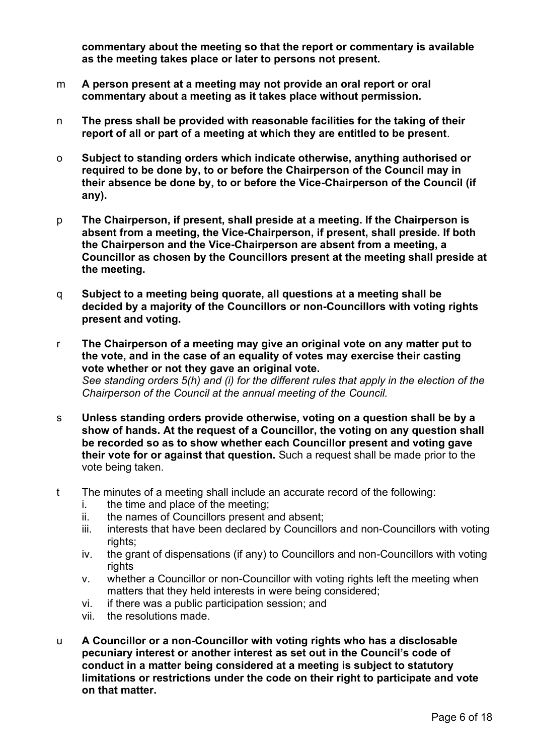**commentary about the meeting so that the report or commentary is available as the meeting takes place or later to persons not present.**

- m **A person present at a meeting may not provide an oral report or oral commentary about a meeting as it takes place without permission.**
- n **The press shall be provided with reasonable facilities for the taking of their report of all or part of a meeting at which they are entitled to be present**.
- o **Subject to standing orders which indicate otherwise, anything authorised or required to be done by, to or before the Chairperson of the Council may in their absence be done by, to or before the Vice-Chairperson of the Council (if any).**
- p **The Chairperson, if present, shall preside at a meeting. If the Chairperson is absent from a meeting, the Vice-Chairperson, if present, shall preside. If both the Chairperson and the Vice-Chairperson are absent from a meeting, a Councillor as chosen by the Councillors present at the meeting shall preside at the meeting.**
- q **Subject to a meeting being quorate, all questions at a meeting shall be decided by a majority of the Councillors or non-Councillors with voting rights present and voting.**
- r **The Chairperson of a meeting may give an original vote on any matter put to the vote, and in the case of an equality of votes may exercise their casting vote whether or not they gave an original vote.** *See standing orders 5(h) and (i) for the different rules that apply in the election of the Chairperson of the Council at the annual meeting of the Council.*
- s **Unless standing orders provide otherwise, voting on a question shall be by a show of hands. At the request of a Councillor, the voting on any question shall be recorded so as to show whether each Councillor present and voting gave their vote for or against that question.** Such a request shall be made prior to the vote being taken.
- t The minutes of a meeting shall include an accurate record of the following:
	- i. the time and place of the meeting;
	- ii. the names of Councillors present and absent;
	- iii. interests that have been declared by Councillors and non-Councillors with voting rights;
	- iv. the grant of dispensations (if any) to Councillors and non-Councillors with voting rights
	- v. whether a Councillor or non-Councillor with voting rights left the meeting when matters that they held interests in were being considered;
	- vi. if there was a public participation session; and
	- vii. the resolutions made.
- u **A Councillor or a non-Councillor with voting rights who has a disclosable pecuniary interest or another interest as set out in the Council's code of conduct in a matter being considered at a meeting is subject to statutory limitations or restrictions under the code on their right to participate and vote on that matter.**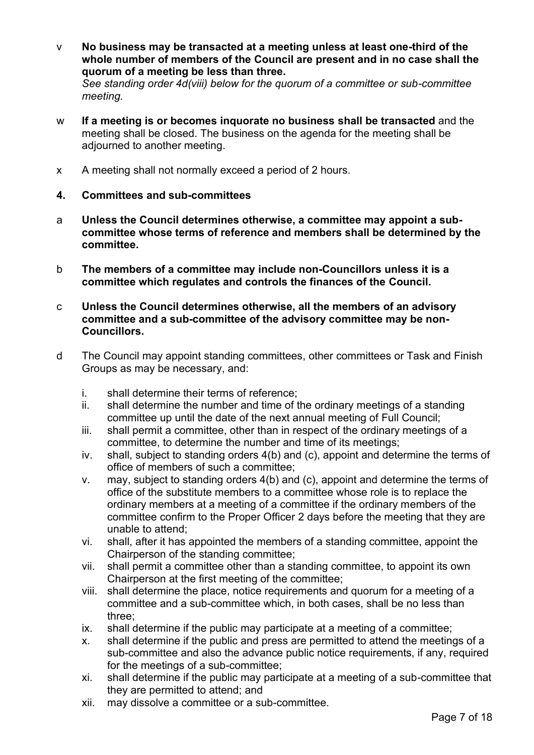- v **No business may be transacted at a meeting unless at least one-third of the whole number of members of the Council are present and in no case shall the quorum of a meeting be less than three.** *See standing order 4d(viii) below for the quorum of a committee or sub-committee meeting.*
- w **If a meeting is or becomes inquorate no business shall be transacted** and the meeting shall be closed. The business on the agenda for the meeting shall be adjourned to another meeting.
- x A meeting shall not normally exceed a period of 2 hours.
- **4. Committees and sub-committees**
- a **Unless the Council determines otherwise, a committee may appoint a subcommittee whose terms of reference and members shall be determined by the committee.**
- b **The members of a committee may include non-Councillors unless it is a committee which regulates and controls the finances of the Council.**
- c **Unless the Council determines otherwise, all the members of an advisory committee and a sub-committee of the advisory committee may be non-Councillors.**
- d The Council may appoint standing committees, other committees or Task and Finish Groups as may be necessary, and:
	- i. shall determine their terms of reference;
	- ii. shall determine the number and time of the ordinary meetings of a standing committee up until the date of the next annual meeting of Full Council;
	- iii. shall permit a committee, other than in respect of the ordinary meetings of a committee, to determine the number and time of its meetings;
	- iv. shall, subject to standing orders 4(b) and (c), appoint and determine the terms of office of members of such a committee;
	- v. may, subject to standing orders 4(b) and (c), appoint and determine the terms of office of the substitute members to a committee whose role is to replace the ordinary members at a meeting of a committee if the ordinary members of the committee confirm to the Proper Officer 2 days before the meeting that they are unable to attend;
	- vi. shall, after it has appointed the members of a standing committee, appoint the Chairperson of the standing committee;
	- vii. shall permit a committee other than a standing committee, to appoint its own Chairperson at the first meeting of the committee;
	- viii. shall determine the place, notice requirements and quorum for a meeting of a committee and a sub-committee which, in both cases, shall be no less than three;
	- ix. shall determine if the public may participate at a meeting of a committee;
	- x. shall determine if the public and press are permitted to attend the meetings of a sub-committee and also the advance public notice requirements, if any, required for the meetings of a sub-committee;
	- xi. shall determine if the public may participate at a meeting of a sub-committee that they are permitted to attend; and
	- xii. may dissolve a committee or a sub-committee.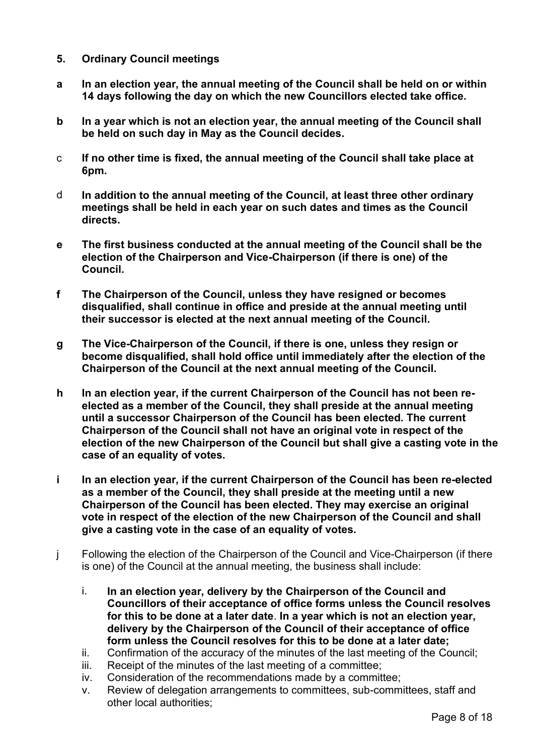#### **5. Ordinary Council meetings**

- **a In an election year, the annual meeting of the Council shall be held on or within 14 days following the day on which the new Councillors elected take office.**
- **b In a year which is not an election year, the annual meeting of the Council shall be held on such day in May as the Council decides.**
- c **If no other time is fixed, the annual meeting of the Council shall take place at 6pm.**
- d **In addition to the annual meeting of the Council, at least three other ordinary meetings shall be held in each year on such dates and times as the Council directs.**
- **e The first business conducted at the annual meeting of the Council shall be the election of the Chairperson and Vice-Chairperson (if there is one) of the Council.**
- **f The Chairperson of the Council, unless they have resigned or becomes disqualified, shall continue in office and preside at the annual meeting until their successor is elected at the next annual meeting of the Council.**
- **g The Vice-Chairperson of the Council, if there is one, unless they resign or become disqualified, shall hold office until immediately after the election of the Chairperson of the Council at the next annual meeting of the Council.**
- **h In an election year, if the current Chairperson of the Council has not been reelected as a member of the Council, they shall preside at the annual meeting until a successor Chairperson of the Council has been elected. The current Chairperson of the Council shall not have an original vote in respect of the election of the new Chairperson of the Council but shall give a casting vote in the case of an equality of votes.**
- **i In an election year, if the current Chairperson of the Council has been re-elected as a member of the Council, they shall preside at the meeting until a new Chairperson of the Council has been elected. They may exercise an original vote in respect of the election of the new Chairperson of the Council and shall give a casting vote in the case of an equality of votes.**
- j Following the election of the Chairperson of the Council and Vice-Chairperson (if there is one) of the Council at the annual meeting, the business shall include:
	- i. **In an election year, delivery by the Chairperson of the Council and Councillors of their acceptance of office forms unless the Council resolves for this to be done at a later date**. **In a year which is not an election year, delivery by the Chairperson of the Council of their acceptance of office form unless the Council resolves for this to be done at a later date;**
	- ii. Confirmation of the accuracy of the minutes of the last meeting of the Council;
	- iii. Receipt of the minutes of the last meeting of a committee;
	- iv. Consideration of the recommendations made by a committee;
	- v. Review of delegation arrangements to committees, sub-committees, staff and other local authorities;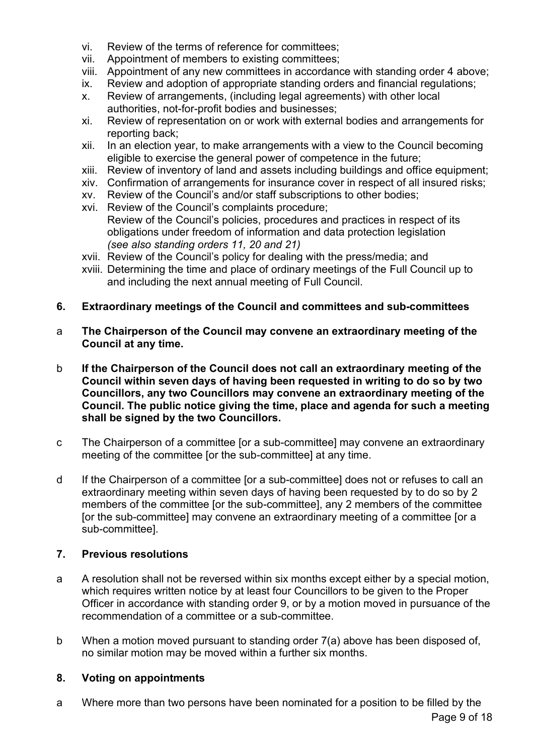- vi. Review of the terms of reference for committees;
- vii. Appointment of members to existing committees;
- viii. Appointment of any new committees in accordance with standing order 4 above;
- ix. Review and adoption of appropriate standing orders and financial regulations;
- x. Review of arrangements, (including legal agreements) with other local authorities, not-for-profit bodies and businesses;
- xi. Review of representation on or work with external bodies and arrangements for reporting back;
- xii. In an election year, to make arrangements with a view to the Council becoming eligible to exercise the general power of competence in the future;
- xiii. Review of inventory of land and assets including buildings and office equipment;
- xiv. Confirmation of arrangements for insurance cover in respect of all insured risks;
- xv. Review of the Council's and/or staff subscriptions to other bodies;
- xvi. Review of the Council's complaints procedure; Review of the Council's policies, procedures and practices in respect of its obligations under freedom of information and data protection legislation *(see also standing orders 11, 20 and 21)*
- xvii. Review of the Council's policy for dealing with the press/media; and
- xviii. Determining the time and place of ordinary meetings of the Full Council up to and including the next annual meeting of Full Council.
- **6. Extraordinary meetings of the Council and committees and sub-committees**
- a **The Chairperson of the Council may convene an extraordinary meeting of the Council at any time.**
- b **If the Chairperson of the Council does not call an extraordinary meeting of the Council within seven days of having been requested in writing to do so by two Councillors, any two Councillors may convene an extraordinary meeting of the Council. The public notice giving the time, place and agenda for such a meeting shall be signed by the two Councillors.**
- c The Chairperson of a committee [or a sub-committee] may convene an extraordinary meeting of the committee [or the sub-committee] at any time.
- d If the Chairperson of a committee [or a sub-committee] does not or refuses to call an extraordinary meeting within seven days of having been requested by to do so by 2 members of the committee [or the sub-committee], any 2 members of the committee [or the sub-committee] may convene an extraordinary meeting of a committee [or a sub-committee].

#### **7. Previous resolutions**

- a A resolution shall not be reversed within six months except either by a special motion, which requires written notice by at least four Councillors to be given to the Proper Officer in accordance with standing order 9, or by a motion moved in pursuance of the recommendation of a committee or a sub-committee.
- b When a motion moved pursuant to standing order 7(a) above has been disposed of, no similar motion may be moved within a further six months.

#### **8. Voting on appointments**

a Where more than two persons have been nominated for a position to be filled by the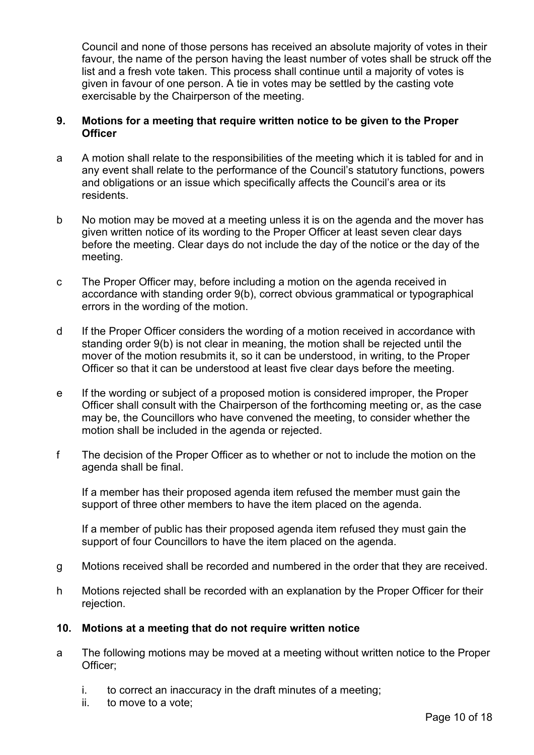Council and none of those persons has received an absolute majority of votes in their favour, the name of the person having the least number of votes shall be struck off the list and a fresh vote taken. This process shall continue until a majority of votes is given in favour of one person. A tie in votes may be settled by the casting vote exercisable by the Chairperson of the meeting.

#### **9. Motions for a meeting that require written notice to be given to the Proper Officer**

- a A motion shall relate to the responsibilities of the meeting which it is tabled for and in any event shall relate to the performance of the Council's statutory functions, powers and obligations or an issue which specifically affects the Council's area or its residents.
- b No motion may be moved at a meeting unless it is on the agenda and the mover has given written notice of its wording to the Proper Officer at least seven clear days before the meeting. Clear days do not include the day of the notice or the day of the meeting.
- c The Proper Officer may, before including a motion on the agenda received in accordance with standing order 9(b), correct obvious grammatical or typographical errors in the wording of the motion.
- d If the Proper Officer considers the wording of a motion received in accordance with standing order 9(b) is not clear in meaning, the motion shall be rejected until the mover of the motion resubmits it, so it can be understood, in writing, to the Proper Officer so that it can be understood at least five clear days before the meeting.
- e If the wording or subject of a proposed motion is considered improper, the Proper Officer shall consult with the Chairperson of the forthcoming meeting or, as the case may be, the Councillors who have convened the meeting, to consider whether the motion shall be included in the agenda or rejected.
- f The decision of the Proper Officer as to whether or not to include the motion on the agenda shall be final.

If a member has their proposed agenda item refused the member must gain the support of three other members to have the item placed on the agenda.

If a member of public has their proposed agenda item refused they must gain the support of four Councillors to have the item placed on the agenda.

- g Motions received shall be recorded and numbered in the order that they are received.
- h Motions rejected shall be recorded with an explanation by the Proper Officer for their rejection.

#### **10. Motions at a meeting that do not require written notice**

- a The following motions may be moved at a meeting without written notice to the Proper Officer;
	- i. to correct an inaccuracy in the draft minutes of a meeting;
	- ii. to move to a vote;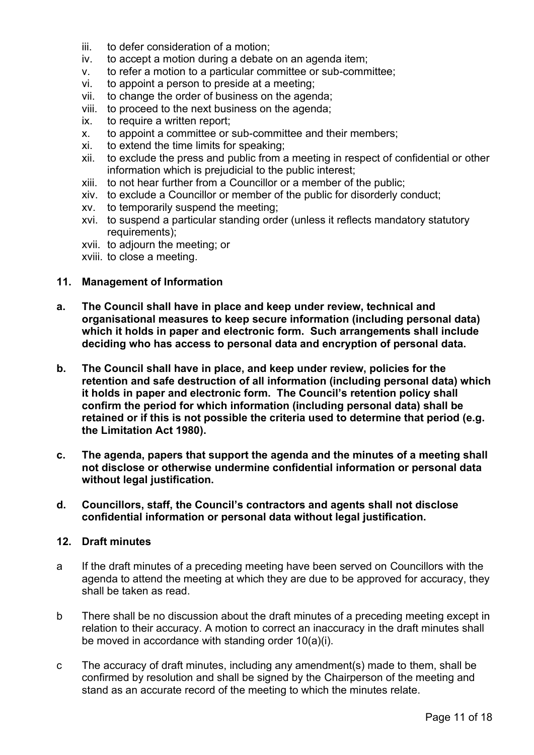- iii. to defer consideration of a motion;
- iv. to accept a motion during a debate on an agenda item;
- v. to refer a motion to a particular committee or sub-committee;
- vi. to appoint a person to preside at a meeting;
- vii. to change the order of business on the agenda;
- viii. to proceed to the next business on the agenda;
- ix. to require a written report;
- x. to appoint a committee or sub-committee and their members;
- xi. to extend the time limits for speaking;
- xii. to exclude the press and public from a meeting in respect of confidential or other information which is prejudicial to the public interest;
- xiii. to not hear further from a Councillor or a member of the public;
- xiv. to exclude a Councillor or member of the public for disorderly conduct;
- xv. to temporarily suspend the meeting;
- xvi. to suspend a particular standing order (unless it reflects mandatory statutory requirements):
- xvii. to adjourn the meeting; or
- xviii. to close a meeting.

#### **11. Management of Information**

- **a. The Council shall have in place and keep under review, technical and organisational measures to keep secure information (including personal data) which it holds in paper and electronic form. Such arrangements shall include deciding who has access to personal data and encryption of personal data.**
- **b. The Council shall have in place, and keep under review, policies for the retention and safe destruction of all information (including personal data) which it holds in paper and electronic form. The Council's retention policy shall confirm the period for which information (including personal data) shall be retained or if this is not possible the criteria used to determine that period (e.g. the Limitation Act 1980).**
- **c. The agenda, papers that support the agenda and the minutes of a meeting shall not disclose or otherwise undermine confidential information or personal data without legal justification.**
- **d. Councillors, staff, the Council's contractors and agents shall not disclose confidential information or personal data without legal justification.**

#### **12. Draft minutes**

- a If the draft minutes of a preceding meeting have been served on Councillors with the agenda to attend the meeting at which they are due to be approved for accuracy, they shall be taken as read.
- b There shall be no discussion about the draft minutes of a preceding meeting except in relation to their accuracy. A motion to correct an inaccuracy in the draft minutes shall be moved in accordance with standing order 10(a)(i).
- c The accuracy of draft minutes, including any amendment(s) made to them, shall be confirmed by resolution and shall be signed by the Chairperson of the meeting and stand as an accurate record of the meeting to which the minutes relate.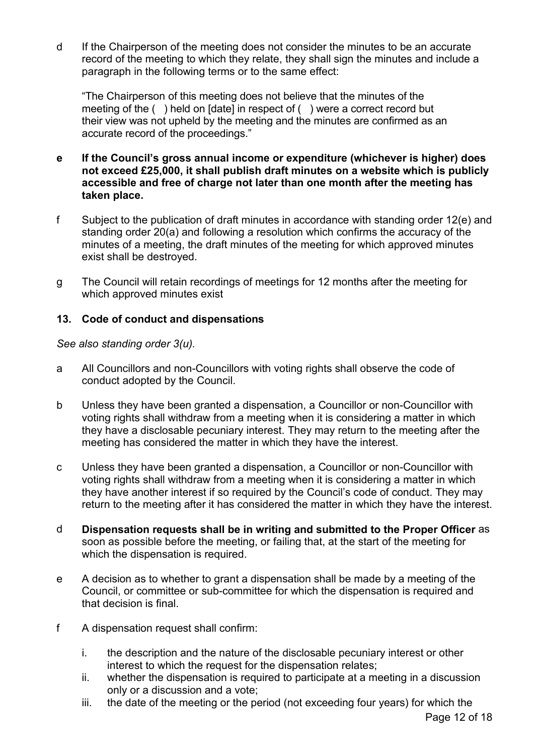d If the Chairperson of the meeting does not consider the minutes to be an accurate record of the meeting to which they relate, they shall sign the minutes and include a paragraph in the following terms or to the same effect:

"The Chairperson of this meeting does not believe that the minutes of the meeting of the ( ) held on [date] in respect of ( ) were a correct record but their view was not upheld by the meeting and the minutes are confirmed as an accurate record of the proceedings."

- **e If the Council's gross annual income or expenditure (whichever is higher) does not exceed £25,000, it shall publish draft minutes on a website which is publicly accessible and free of charge not later than one month after the meeting has taken place.**
- f Subject to the publication of draft minutes in accordance with standing order 12(e) and standing order 20(a) and following a resolution which confirms the accuracy of the minutes of a meeting, the draft minutes of the meeting for which approved minutes exist shall be destroyed.
- g The Council will retain recordings of meetings for 12 months after the meeting for which approved minutes exist

#### **13. Code of conduct and dispensations**

*See also standing order 3(u).* 

- a All Councillors and non-Councillors with voting rights shall observe the code of conduct adopted by the Council.
- b Unless they have been granted a dispensation, a Councillor or non-Councillor with voting rights shall withdraw from a meeting when it is considering a matter in which they have a disclosable pecuniary interest. They may return to the meeting after the meeting has considered the matter in which they have the interest.
- c Unless they have been granted a dispensation, a Councillor or non-Councillor with voting rights shall withdraw from a meeting when it is considering a matter in which they have another interest if so required by the Council's code of conduct. They may return to the meeting after it has considered the matter in which they have the interest.
- d **Dispensation requests shall be in writing and submitted to the Proper Officer** as soon as possible before the meeting, or failing that, at the start of the meeting for which the dispensation is required.
- e A decision as to whether to grant a dispensation shall be made by a meeting of the Council, or committee or sub-committee for which the dispensation is required and that decision is final.
- f A dispensation request shall confirm:
	- i. the description and the nature of the disclosable pecuniary interest or other interest to which the request for the dispensation relates;
	- ii. whether the dispensation is required to participate at a meeting in a discussion only or a discussion and a vote;
	- iii. the date of the meeting or the period (not exceeding four years) for which the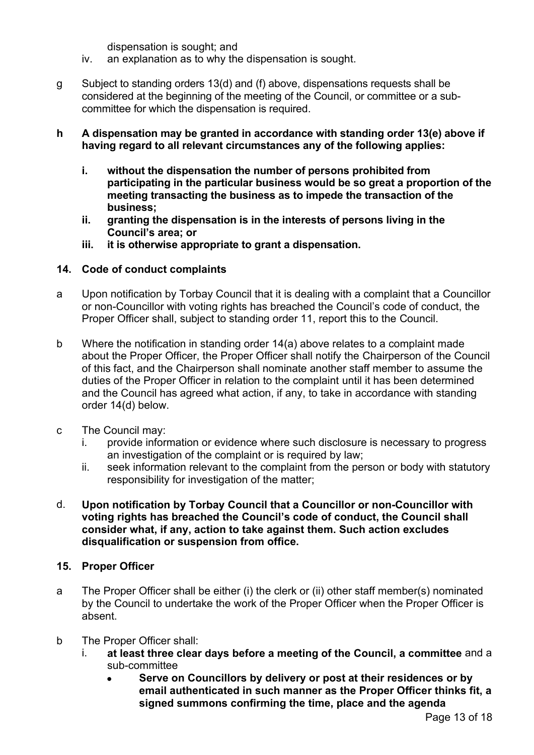dispensation is sought; and

- iv. an explanation as to why the dispensation is sought.
- g Subject to standing orders 13(d) and (f) above, dispensations requests shall be considered at the beginning of the meeting of the Council, or committee or a subcommittee for which the dispensation is required.

#### **h A dispensation may be granted in accordance with standing order 13(e) above if having regard to all relevant circumstances any of the following applies:**

- **i. without the dispensation the number of persons prohibited from participating in the particular business would be so great a proportion of the meeting transacting the business as to impede the transaction of the business;**
- **ii. granting the dispensation is in the interests of persons living in the Council's area; or**
- **iii. it is otherwise appropriate to grant a dispensation.**

#### **14. Code of conduct complaints**

- a Upon notification by Torbay Council that it is dealing with a complaint that a Councillor or non-Councillor with voting rights has breached the Council's code of conduct, the Proper Officer shall, subject to standing order 11, report this to the Council.
- b Where the notification in standing order 14(a) above relates to a complaint made about the Proper Officer, the Proper Officer shall notify the Chairperson of the Council of this fact, and the Chairperson shall nominate another staff member to assume the duties of the Proper Officer in relation to the complaint until it has been determined and the Council has agreed what action, if any, to take in accordance with standing order 14(d) below.
- c The Council may:
	- i. provide information or evidence where such disclosure is necessary to progress an investigation of the complaint or is required by law;
	- ii. seek information relevant to the complaint from the person or body with statutory responsibility for investigation of the matter;
- d. **Upon notification by Torbay Council that a Councillor or non-Councillor with voting rights has breached the Council's code of conduct, the Council shall consider what, if any, action to take against them. Such action excludes disqualification or suspension from office.**

#### **15. Proper Officer**

- a The Proper Officer shall be either (i) the clerk or (ii) other staff member(s) nominated by the Council to undertake the work of the Proper Officer when the Proper Officer is absent.
- b The Proper Officer shall:
	- i. **at least three clear days before a meeting of the Council, a committee** and a sub-committee
		- **Serve on Councillors by delivery or post at their residences or by email authenticated in such manner as the Proper Officer thinks fit, a signed summons confirming the time, place and the agenda**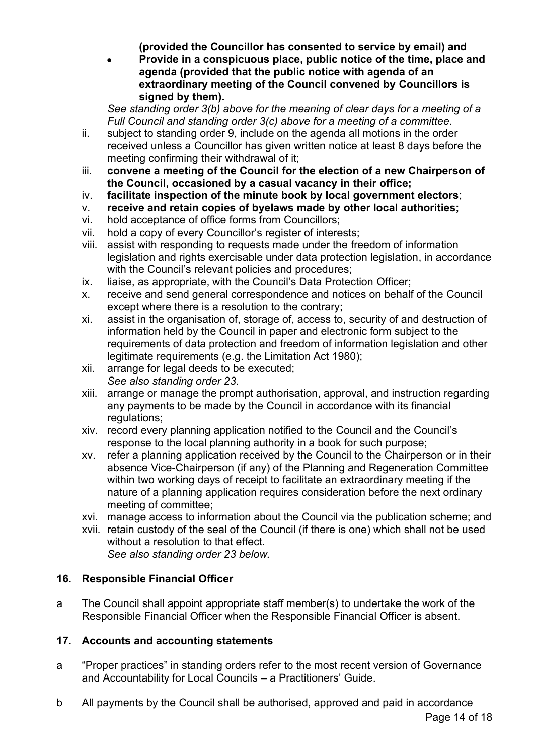**(provided the Councillor has consented to service by email) and**

• **Provide in a conspicuous place, public notice of the time, place and agenda (provided that the public notice with agenda of an extraordinary meeting of the Council convened by Councillors is signed by them).**

*See standing order 3(b) above for the meaning of clear days for a meeting of a Full Council and standing order 3(c) above for a meeting of a committee.*

- ii. subject to standing order 9, include on the agenda all motions in the order received unless a Councillor has given written notice at least 8 days before the meeting confirming their withdrawal of it;
- iii. **convene a meeting of the Council for the election of a new Chairperson of the Council, occasioned by a casual vacancy in their office;**
- iv. **facilitate inspection of the minute book by local government electors**;
- v. **receive and retain copies of byelaws made by other local authorities;**
- vi. hold acceptance of office forms from Councillors;
- vii. hold a copy of every Councillor's register of interests;
- viii. assist with responding to requests made under the freedom of information legislation and rights exercisable under data protection legislation, in accordance with the Council's relevant policies and procedures;
- ix. liaise, as appropriate, with the Council's Data Protection Officer;
- x. receive and send general correspondence and notices on behalf of the Council except where there is a resolution to the contrary;
- xi. assist in the organisation of, storage of, access to, security of and destruction of information held by the Council in paper and electronic form subject to the requirements of data protection and freedom of information legislation and other legitimate requirements (e.g. the Limitation Act 1980);
- xii. arrange for legal deeds to be executed; *See also standing order 23.*
- xiii. arrange or manage the prompt authorisation, approval, and instruction regarding any payments to be made by the Council in accordance with its financial regulations:
- xiv. record every planning application notified to the Council and the Council's response to the local planning authority in a book for such purpose;
- xv. refer a planning application received by the Council to the Chairperson or in their absence Vice-Chairperson (if any) of the Planning and Regeneration Committee within two working days of receipt to facilitate an extraordinary meeting if the nature of a planning application requires consideration before the next ordinary meeting of committee;
- xvi. manage access to information about the Council via the publication scheme; and
- xvii. retain custody of the seal of the Council (if there is one) which shall not be used without a resolution to that effect. *See also standing order 23 below.*

#### **16. Responsible Financial Officer**

a The Council shall appoint appropriate staff member(s) to undertake the work of the Responsible Financial Officer when the Responsible Financial Officer is absent.

#### **17. Accounts and accounting statements**

- a "Proper practices" in standing orders refer to the most recent version of Governance and Accountability for Local Councils – a Practitioners' Guide.
- b All payments by the Council shall be authorised, approved and paid in accordance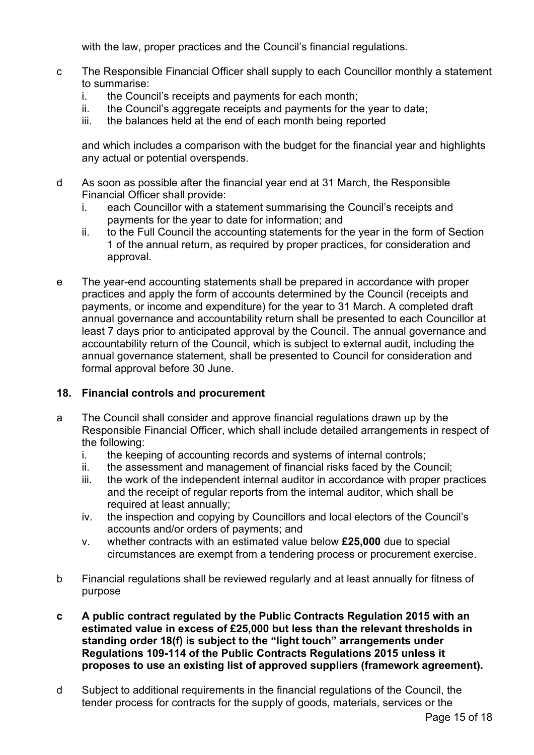with the law, proper practices and the Council's financial regulations.

- c The Responsible Financial Officer shall supply to each Councillor monthly a statement to summarise:
	- i. the Council's receipts and payments for each month;
	- ii. the Council's aggregate receipts and payments for the year to date;
	- iii. the balances held at the end of each month being reported

and which includes a comparison with the budget for the financial year and highlights any actual or potential overspends.

- d As soon as possible after the financial year end at 31 March, the Responsible Financial Officer shall provide:
	- i. each Councillor with a statement summarising the Council's receipts and payments for the year to date for information; and
	- ii. to the Full Council the accounting statements for the year in the form of Section 1 of the annual return, as required by proper practices, for consideration and approval.
- e The year-end accounting statements shall be prepared in accordance with proper practices and apply the form of accounts determined by the Council (receipts and payments, or income and expenditure) for the year to 31 March. A completed draft annual governance and accountability return shall be presented to each Councillor at least 7 days prior to anticipated approval by the Council. The annual governance and accountability return of the Council, which is subject to external audit, including the annual governance statement, shall be presented to Council for consideration and formal approval before 30 June.

#### **18. Financial controls and procurement**

- a The Council shall consider and approve financial regulations drawn up by the Responsible Financial Officer, which shall include detailed arrangements in respect of the following:
	- i. the keeping of accounting records and systems of internal controls;
	- ii. the assessment and management of financial risks faced by the Council;
	- iii. the work of the independent internal auditor in accordance with proper practices and the receipt of regular reports from the internal auditor, which shall be required at least annually;
	- iv. the inspection and copying by Councillors and local electors of the Council's accounts and/or orders of payments; and
	- v. whether contracts with an estimated value below **£25,000** due to special circumstances are exempt from a tendering process or procurement exercise.
- b Financial regulations shall be reviewed regularly and at least annually for fitness of purpose
- **c A public contract regulated by the Public Contracts Regulation 2015 with an estimated value in excess of £25,000 but less than the relevant thresholds in standing order 18(f) is subject to the "light touch" arrangements under Regulations 109-114 of the Public Contracts Regulations 2015 unless it proposes to use an existing list of approved suppliers (framework agreement).**
- d Subject to additional requirements in the financial regulations of the Council, the tender process for contracts for the supply of goods, materials, services or the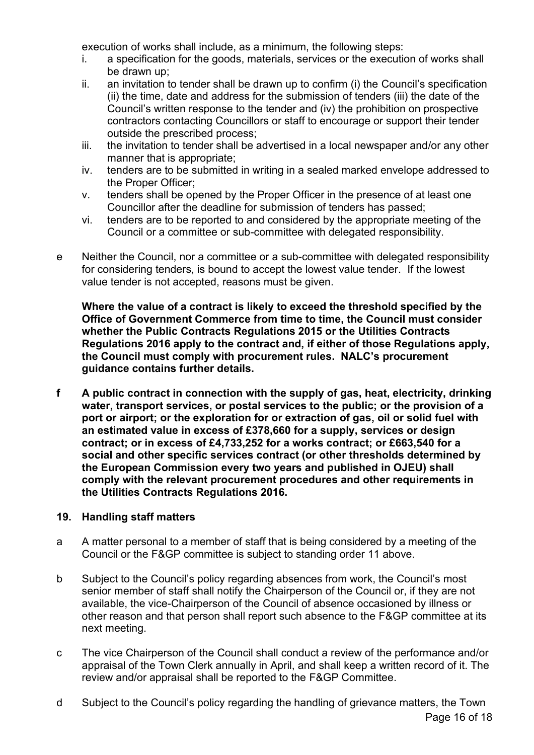execution of works shall include, as a minimum, the following steps:

- i. a specification for the goods, materials, services or the execution of works shall be drawn up;
- ii. an invitation to tender shall be drawn up to confirm (i) the Council's specification (ii) the time, date and address for the submission of tenders (iii) the date of the Council's written response to the tender and (iv) the prohibition on prospective contractors contacting Councillors or staff to encourage or support their tender outside the prescribed process;
- iii. the invitation to tender shall be advertised in a local newspaper and/or any other manner that is appropriate;
- iv. tenders are to be submitted in writing in a sealed marked envelope addressed to the Proper Officer;
- v. tenders shall be opened by the Proper Officer in the presence of at least one Councillor after the deadline for submission of tenders has passed;
- vi. tenders are to be reported to and considered by the appropriate meeting of the Council or a committee or sub-committee with delegated responsibility.
- e Neither the Council, nor a committee or a sub-committee with delegated responsibility for considering tenders, is bound to accept the lowest value tender. If the lowest value tender is not accepted, reasons must be given.

 **Where the value of a contract is likely to exceed the threshold specified by the Office of Government Commerce from time to time, the Council must consider whether the Public Contracts Regulations 2015 or the Utilities Contracts Regulations 2016 apply to the contract and, if either of those Regulations apply, the Council must comply with procurement rules. NALC's procurement guidance contains further details.**

**f A public contract in connection with the supply of gas, heat, electricity, drinking water, transport services, or postal services to the public; or the provision of a port or airport; or the exploration for or extraction of gas, oil or solid fuel with an estimated value in excess of £378,660 for a supply, services or design contract; or in excess of £4,733,252 for a works contract; or £663,540 for a social and other specific services contract (or other thresholds determined by the European Commission every two years and published in OJEU) shall comply with the relevant procurement procedures and other requirements in the Utilities Contracts Regulations 2016.**

#### **19. Handling staff matters**

- a A matter personal to a member of staff that is being considered by a meeting of the Council or the F&GP committee is subject to standing order 11 above.
- b Subject to the Council's policy regarding absences from work, the Council's most senior member of staff shall notify the Chairperson of the Council or, if they are not available, the vice-Chairperson of the Council of absence occasioned by illness or other reason and that person shall report such absence to the F&GP committee at its next meeting.
- c The vice Chairperson of the Council shall conduct a review of the performance and/or appraisal of the Town Clerk annually in April, and shall keep a written record of it. The review and/or appraisal shall be reported to the F&GP Committee.
- Page 16 of 18 d Subject to the Council's policy regarding the handling of grievance matters, the Town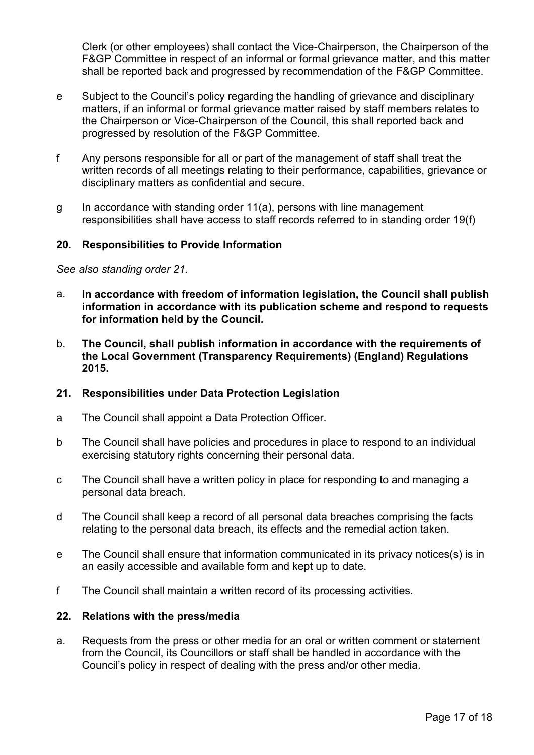Clerk (or other employees) shall contact the Vice-Chairperson, the Chairperson of the F&GP Committee in respect of an informal or formal grievance matter, and this matter shall be reported back and progressed by recommendation of the F&GP Committee.

- e Subject to the Council's policy regarding the handling of grievance and disciplinary matters, if an informal or formal grievance matter raised by staff members relates to the Chairperson or Vice-Chairperson of the Council, this shall reported back and progressed by resolution of the F&GP Committee.
- f Any persons responsible for all or part of the management of staff shall treat the written records of all meetings relating to their performance, capabilities, grievance or disciplinary matters as confidential and secure.
- g In accordance with standing order 11(a), persons with line management responsibilities shall have access to staff records referred to in standing order 19(f)

#### **20. Responsibilities to Provide Information**

*See also standing order 21.*

- a. **In accordance with freedom of information legislation, the Council shall publish information in accordance with its publication scheme and respond to requests for information held by the Council.**
- b. **The Council, shall publish information in accordance with the requirements of the Local Government (Transparency Requirements) (England) Regulations 2015.**

#### **21. Responsibilities under Data Protection Legislation**

- a The Council shall appoint a Data Protection Officer.
- b The Council shall have policies and procedures in place to respond to an individual exercising statutory rights concerning their personal data.
- c The Council shall have a written policy in place for responding to and managing a personal data breach.
- d The Council shall keep a record of all personal data breaches comprising the facts relating to the personal data breach, its effects and the remedial action taken.
- e The Council shall ensure that information communicated in its privacy notices(s) is in an easily accessible and available form and kept up to date.
- f The Council shall maintain a written record of its processing activities.

#### **22. Relations with the press/media**

a. Requests from the press or other media for an oral or written comment or statement from the Council, its Councillors or staff shall be handled in accordance with the Council's policy in respect of dealing with the press and/or other media.